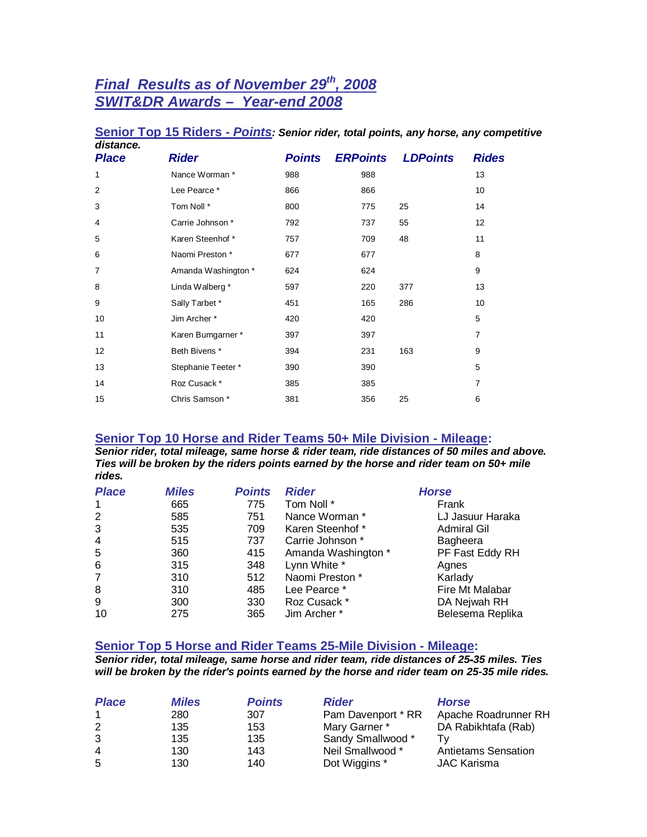# *Final Results as of November 29th, 2008 SWIT&DR Awards – Year-end 2008*

| distance.      |                     |               |                 |                 |                |
|----------------|---------------------|---------------|-----------------|-----------------|----------------|
| <b>Place</b>   | <b>Rider</b>        | <b>Points</b> | <b>ERPoints</b> | <b>LDPoints</b> | <b>Rides</b>   |
| 1              | Nance Worman *      | 988           | 988             |                 | 13             |
| $\overline{2}$ | Lee Pearce *        | 866           | 866             |                 | 10             |
| 3              | Tom Noll *          | 800           | 775             | 25              | 14             |
| 4              | Carrie Johnson *    | 792           | 737             | 55              | 12             |
| 5              | Karen Steenhof *    | 757           | 709             | 48              | 11             |
| 6              | Naomi Preston *     | 677           | 677             |                 | 8              |
| $\overline{7}$ | Amanda Washington * | 624           | 624             |                 | 9              |
| 8              | Linda Walberg *     | 597           | 220             | 377             | 13             |
| 9              | Sally Tarbet *      | 451           | 165             | 286             | 10             |
| 10             | Jim Archer*         | 420           | 420             |                 | 5              |
| 11             | Karen Bumgarner*    | 397           | 397             |                 | $\overline{7}$ |
| 12             | Beth Bivens *       | 394           | 231             | 163             | 9              |
| 13             | Stephanie Teeter*   | 390           | 390             |                 | 5              |
| 14             | Roz Cusack*         | 385           | 385             |                 | $\overline{7}$ |
| 15             | Chris Samson *      | 381           | 356             | 25              | 6              |

# **Senior Top 15 Riders -** *Points: Senior rider, total points, any horse, any competitive*

### **Senior Top 10 Horse and Rider Teams 50+ Mile Division - Mileage:**

*Senior rider, total mileage, same horse & rider team, ride distances of 50 miles and above. Ties will be broken by the riders points earned by the horse and rider team on 50+ mile rides.*

| <b>Place</b>   | <b>Miles</b> | <b>Points</b> | <b>Rider</b>        | <b>Horse</b>       |
|----------------|--------------|---------------|---------------------|--------------------|
| 1              | 665          | 775           | Tom Noll *          | Frank              |
| $\overline{2}$ | 585          | 751           | Nance Worman *      | LJ Jasuur Haraka   |
| 3              | 535          | 709           | Karen Steenhof*     | <b>Admiral Gil</b> |
| 4              | 515          | 737           | Carrie Johnson *    | Bagheera           |
| 5              | 360          | 415           | Amanda Washington * | PF Fast Eddy RH    |
| 6              | 315          | 348           | Lynn White *        | Agnes              |
| 7              | 310          | 512           | Naomi Preston *     | Karlady            |
| 8              | 310          | 485           | Lee Pearce *        | Fire Mt Malabar    |
| 9              | 300          | 330           | Roz Cusack *        | DA Nejwah RH       |
| 10             | 275          | 365           | Jim Archer *        | Belesema Replika   |

# **Senior Top 5 Horse and Rider Teams 25-Mile Division - Mileage:**

*Senior rider, total mileage, same horse and rider team, ride distances of 25-35 miles. Ties will be broken by the rider's points earned by the horse and rider team on 25-35 mile rides.*

| <b>Place</b> | <b>Miles</b> | <b>Points</b> | <b>Rider</b>       | <b>Horse</b>               |
|--------------|--------------|---------------|--------------------|----------------------------|
| $\mathbf{1}$ | 280          | 307           | Pam Davenport * RR | Apache Roadrunner RH       |
| 2            | 135          | 153           | Mary Garner *      | DA Rabikhtafa (Rab)        |
| 3            | 135          | 135           | Sandy Smallwood *  |                            |
| 4            | 130          | 143           | Neil Smallwood *   | <b>Antietams Sensation</b> |
| 5            | 130          | 140           | Dot Wiggins *      | <b>JAC Karisma</b>         |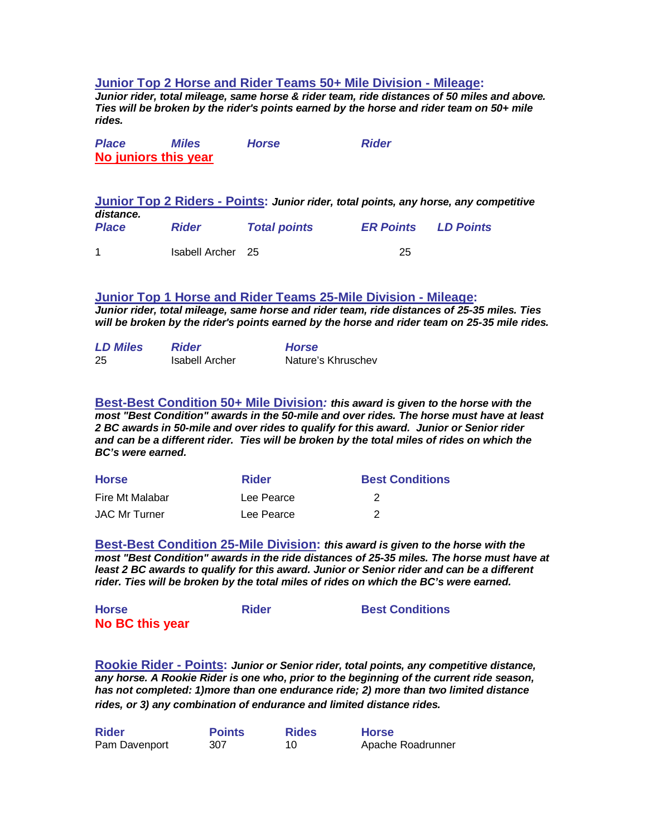## **Junior Top 2 Horse and Rider Teams 50+ Mile Division - Mileage:**

*Junior rider, total mileage, same horse & rider team, ride distances of 50 miles and above. Ties will be broken by the rider's points earned by the horse and rider team on 50+ mile rides.*

| <b>Place</b> | <b>Miles</b>         | <b>Horse</b> | <b>Rider</b> |
|--------------|----------------------|--------------|--------------|
|              | No juniors this year |              |              |

**Junior Top 2 Riders - Points:** *Junior rider, total points, any horse, any competitive distance. Place Rider Total points ER Points LD Points* 1 Isabell Archer 25 25

#### **Junior Top 1 Horse and Rider Teams 25-Mile Division - Mileage:**

*Junior rider, total mileage, same horse and rider team, ride distances of 25-35 miles. Ties will be broken by the rider's points earned by the horse and rider team on 25-35 mile rides.*

| <b>LD Miles</b> | <b>Rider</b>   | <b>Horse</b>       |
|-----------------|----------------|--------------------|
| 25              | Isabell Archer | Nature's Khruschev |

**Best-Best Condition 50+ Mile Division***: this award is given to the horse with the most "Best Condition" awards in the 50-mile and over rides. The horse must have at least 2 BC awards in 50-mile and over rides to qualify for this award. Junior or Senior rider and can be a different rider. Ties will be broken by the total miles of rides on which the BC's were earned.*

| <b>Horse</b>         | <b>Rider</b> | <b>Best Conditions</b> |
|----------------------|--------------|------------------------|
| Fire Mt Malabar      | Lee Pearce   |                        |
| <b>JAC Mr Turner</b> | Lee Pearce   |                        |

**Best-Best Condition 25-Mile Division:** *this award is given to the horse with the most "Best Condition" awards in the ride distances of 25-35 miles. The horse must have at*  least 2 BC awards to qualify for this award. Junior or Senior rider and can be a different *rider. Ties will be broken by the total miles of rides on which the BC's were earned.*

| <b>Horse</b>    | <b>Rider</b> | <b>Best Conditions</b> |
|-----------------|--------------|------------------------|
| No BC this year |              |                        |

**Rookie Rider - Points:** *Junior or Senior rider, total points, any competitive distance, any horse. A Rookie Rider is one who, prior to the beginning of the current ride season, has not completed: 1)more than one endurance ride; 2) more than two limited distance rides, or 3) any combination of endurance and limited distance rides.*

| <b>Rider</b>  | <b>Points</b> | <b>Rides</b> | <b>Horse</b>      |
|---------------|---------------|--------------|-------------------|
| Pam Davenport | 307           |              | Apache Roadrunner |